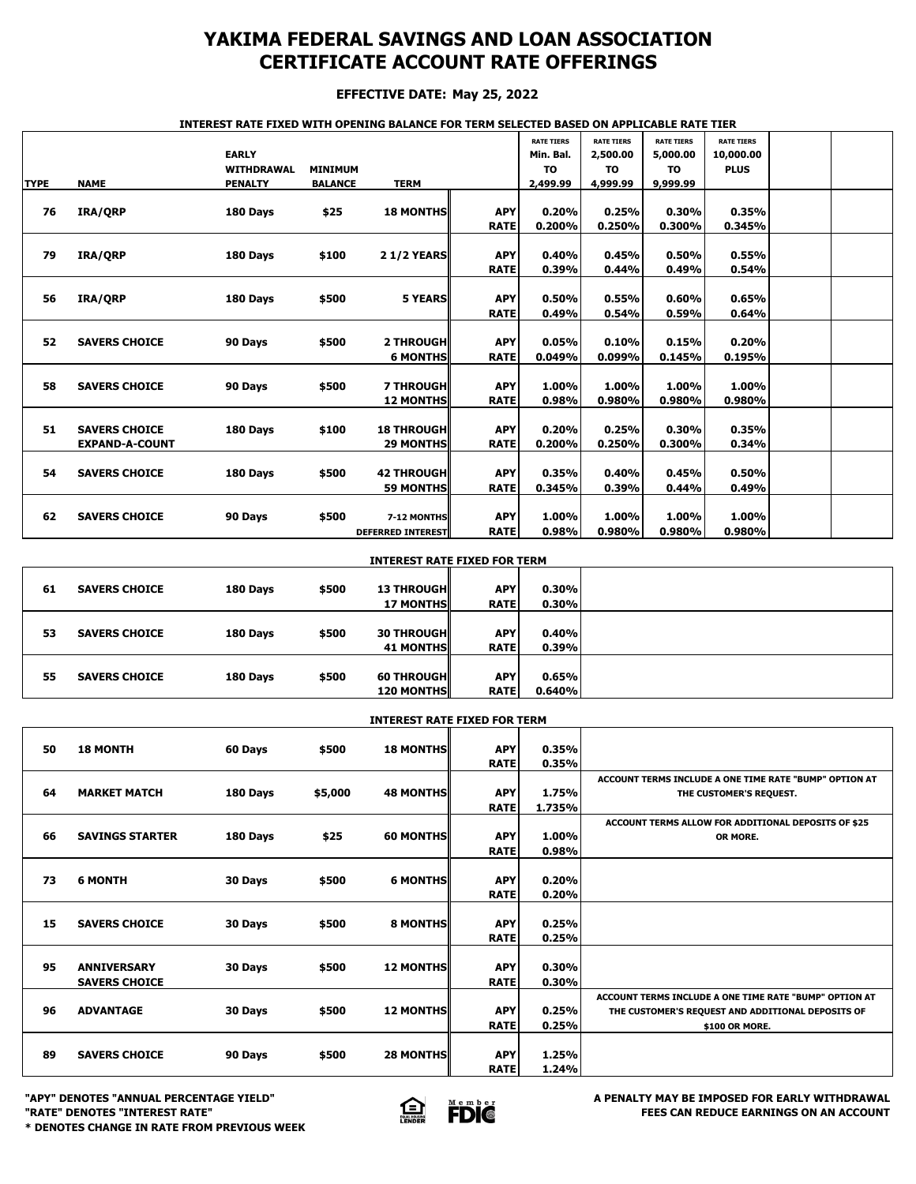## **YAKIMA FEDERAL SAVINGS AND LOAN ASSOCIATION CERTIFICATE ACCOUNT RATE OFFERINGS**

### **EFFECTIVE DATE: May 25, 2022**

#### **INTEREST RATE FIXED WITH OPENING BALANCE FOR TERM SELECTED BASED ON APPLICABLE RATE TIER**

|             |                       |                   |                |                          |             | <b>RATE TIERS</b> | <b>RATE TIERS</b> | <b>RATE TIERS</b> | <b>RATE TIERS</b> |  |
|-------------|-----------------------|-------------------|----------------|--------------------------|-------------|-------------------|-------------------|-------------------|-------------------|--|
|             |                       | <b>EARLY</b>      |                |                          |             | Min. Bal.         | 2,500.00          | 5,000.00          | 10,000.00         |  |
|             |                       | <b>WITHDRAWAL</b> | <b>MINIMUM</b> |                          |             | <b>TO</b>         | <b>TO</b>         | <b>TO</b>         | <b>PLUS</b>       |  |
| <b>TYPE</b> | <b>NAME</b>           | <b>PENALTY</b>    | <b>BALANCE</b> | <b>TERM</b>              |             | 2,499.99          | 4,999.99          | 9,999.99          |                   |  |
|             |                       |                   |                |                          |             |                   |                   |                   |                   |  |
| 76          | IRA/QRP               | 180 Days          | \$25           | <b>18 MONTHS</b>         | <b>APY</b>  | 0.20%             | 0.25%             | 0.30%             | 0.35%             |  |
|             |                       |                   |                |                          | <b>RATE</b> | 0.200%            | 0.250%            | 0.300%            | 0.345%            |  |
|             |                       |                   |                |                          |             |                   |                   |                   |                   |  |
| 79          | IRA/ORP               | 180 Days          | \$100          | <b>21/2 YEARS</b>        | <b>APY</b>  | 0.40%             | 0.45%             | 0.50%             | 0.55%             |  |
|             |                       |                   |                |                          | <b>RATE</b> | 0.39%             | 0.44%             | 0.49%             | 0.54%             |  |
|             |                       |                   |                |                          |             |                   |                   |                   |                   |  |
| 56          | IRA/ORP               | 180 Days          | \$500          | <b>5 YEARS</b>           | <b>APY</b>  | 0.50%             | 0.55%             | 0.60%             | 0.65%             |  |
|             |                       |                   |                |                          | <b>RATE</b> | 0.49%             | 0.54%             | 0.59%             | 0.64%             |  |
|             |                       |                   |                |                          |             |                   |                   |                   |                   |  |
| 52          | <b>SAVERS CHOICE</b>  | 90 Days           | \$500          | <b>2 THROUGH</b>         | <b>APY</b>  | 0.05%             | 0.10%             | 0.15%             | 0.20%             |  |
|             |                       |                   |                | <b>6 MONTHS</b>          | <b>RATE</b> | 0.049%            | 0.099%            | 0.145%            | 0.195%            |  |
|             |                       |                   |                |                          |             |                   |                   |                   |                   |  |
| 58          | <b>SAVERS CHOICE</b>  | 90 Days           | \$500          | <b>7 THROUGH</b>         | <b>APY</b>  | 1.00%             | 1.00%             | 1.00%             | 1.00%             |  |
|             |                       |                   |                | <b>12 MONTHS</b>         | <b>RATE</b> | 0.98%             | 0.980%            | 0.980%            | 0.980%            |  |
|             |                       |                   |                |                          |             |                   |                   |                   |                   |  |
|             |                       |                   |                |                          |             |                   |                   |                   |                   |  |
| 51          | <b>SAVERS CHOICE</b>  | 180 Days          | \$100          | <b>18 THROUGH</b>        | <b>APY</b>  | 0.20%             | 0.25%             | 0.30%             | 0.35%             |  |
|             | <b>EXPAND-A-COUNT</b> |                   |                | <b>29 MONTHS</b>         | <b>RATE</b> | 0.200%            | 0.250%            | 0.300%            | 0.34%             |  |
|             |                       |                   |                |                          |             |                   |                   |                   |                   |  |
| 54          | <b>SAVERS CHOICE</b>  | 180 Days          | \$500          | <b>42 THROUGH</b>        | <b>APY</b>  | 0.35%             | 0.40%             | 0.45%             | 0.50%             |  |
|             |                       |                   |                | <b>59 MONTHS</b>         | <b>RATE</b> | 0.345%            | 0.39%             | 0.44%             | 0.49%             |  |
|             |                       |                   |                |                          |             |                   |                   |                   |                   |  |
| 62          | <b>SAVERS CHOICE</b>  | 90 Days           | \$500          | 7-12 MONTHS              | <b>APY</b>  | 1.00%             | 1.00%             | 1.00%             | 1.00%             |  |
|             |                       |                   |                | <b>DEFERRED INTEREST</b> | <b>RATE</b> | 0.98%             | 0.980%            | 0.980%            | 0.980%            |  |

|    | <b>INTEREST RATE FIXED FOR TERM</b> |          |       |                                        |                           |                 |  |  |  |  |
|----|-------------------------------------|----------|-------|----------------------------------------|---------------------------|-----------------|--|--|--|--|
| 61 | <b>SAVERS CHOICE</b>                | 180 Days | \$500 | <b>13 THROUGHI</b>                     | <b>APY</b>                | 0.30%           |  |  |  |  |
|    |                                     |          |       | <b>17 MONTHS</b>                       | <b>RATE</b>               | 0.30%           |  |  |  |  |
| 53 | <b>SAVERS CHOICE</b>                | 180 Days | \$500 | <b>30 THROUGHI</b><br><b>41 MONTHS</b> | <b>APY</b><br><b>RATE</b> | 0.40%<br>0.39%  |  |  |  |  |
| 55 | <b>SAVERS CHOICE</b>                | 180 Days | \$500 | <b>60 THROUGH</b><br><b>120 MONTHS</b> | <b>APY</b><br><b>RATE</b> | 0.65%<br>0.640% |  |  |  |  |

|    | <b>INTEREST RATE FIXED FOR TERM</b>        |          |         |                  |                           |                 |                                                                                                                               |  |  |  |
|----|--------------------------------------------|----------|---------|------------------|---------------------------|-----------------|-------------------------------------------------------------------------------------------------------------------------------|--|--|--|
| 50 | <b>18 MONTH</b>                            | 60 Days  | \$500   | <b>18 MONTHS</b> | <b>APY</b><br><b>RATE</b> | 0.35%<br>0.35%  |                                                                                                                               |  |  |  |
| 64 | <b>MARKET MATCH</b>                        | 180 Days | \$5,000 | <b>48 MONTHS</b> | <b>APY</b><br><b>RATE</b> | 1.75%<br>1.735% | ACCOUNT TERMS INCLUDE A ONE TIME RATE "BUMP" OPTION AT<br>THE CUSTOMER'S REQUEST.                                             |  |  |  |
| 66 | <b>SAVINGS STARTER</b>                     | 180 Days | \$25    | <b>60 MONTHS</b> | <b>APY</b><br><b>RATE</b> | 1.00%<br>0.98%  | ACCOUNT TERMS ALLOW FOR ADDITIONAL DEPOSITS OF \$25<br>OR MORE.                                                               |  |  |  |
| 73 | <b>6 MONTH</b>                             | 30 Days  | \$500   | <b>6 MONTHS</b>  | <b>APY</b><br><b>RATE</b> | 0.20%<br>0.20%  |                                                                                                                               |  |  |  |
| 15 | <b>SAVERS CHOICE</b>                       | 30 Days  | \$500   | <b>8 MONTHS</b>  | <b>APY</b><br><b>RATE</b> | 0.25%<br>0.25%  |                                                                                                                               |  |  |  |
| 95 | <b>ANNIVERSARY</b><br><b>SAVERS CHOICE</b> | 30 Days  | \$500   | <b>12 MONTHS</b> | <b>APY</b><br><b>RATE</b> | 0.30%<br>0.30%  |                                                                                                                               |  |  |  |
| 96 | <b>ADVANTAGE</b>                           | 30 Days  | \$500   | <b>12 MONTHS</b> | <b>APY</b><br><b>RATE</b> | 0.25%<br>0.25%  | ACCOUNT TERMS INCLUDE A ONE TIME RATE "BUMP" OPTION AT<br>THE CUSTOMER'S REQUEST AND ADDITIONAL DEPOSITS OF<br>\$100 OR MORE. |  |  |  |
| 89 | <b>SAVERS CHOICE</b>                       | 90 Days  | \$500   | <b>28 MONTHS</b> | <b>APY</b><br><b>RATE</b> | 1.25%<br>1.24%  |                                                                                                                               |  |  |  |





**"APY" DENOTES "ANNUAL PERCENTAGE YIELD" A PENALTY MAY BE IMPOSED FOR EARLY WITHDRAWAL**<br>"RATE" DENOTES "INTEREST RATE" **A PENALTY SESSION ASSESS FOR EARLY AND A PENALTY MAY BE IMPOSED FOR EARLY WITHDRAWAL "RATE" DENOTES "INTEREST RATE" FEES CAN REDUCE EARNINGS ON AN ACCOUNT**